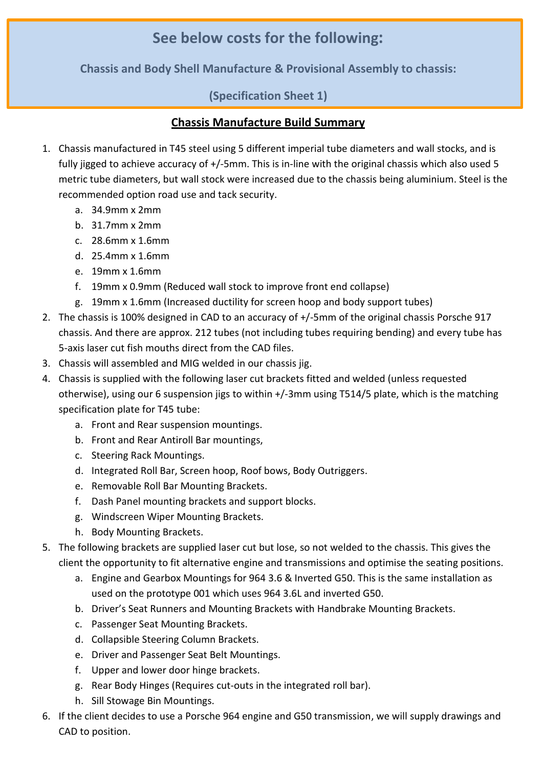## **See below costs for the following:**

**Chassis and Body Shell Manufacture & Provisional Assembly to chassis:** 

## **(Specification Sheet 1)**

## **Chassis Manufacture Build Summary**

- 1. Chassis manufactured in T45 steel using 5 different imperial tube diameters and wall stocks, and is fully jigged to achieve accuracy of +/-5mm. This is in-line with the original chassis which also used 5 metric tube diameters, but wall stock were increased due to the chassis being aluminium. Steel is the recommended option road use and tack security.
	- a. 34.9mm x 2mm
	- b. 31.7mm x 2mm
	- c. 28.6mm x 1.6mm
	- d. 25.4mm x 1.6mm
	- e. 19mm x 1.6mm
	- f. 19mm x 0.9mm (Reduced wall stock to improve front end collapse)
	- g. 19mm x 1.6mm (Increased ductility for screen hoop and body support tubes)
- 2. The chassis is 100% designed in CAD to an accuracy of +/-5mm of the original chassis Porsche 917 chassis. And there are approx. 212 tubes (not including tubes requiring bending) and every tube has 5-axis laser cut fish mouths direct from the CAD files.
- 3. Chassis will assembled and MIG welded in our chassis jig.
- 4. Chassis is supplied with the following laser cut brackets fitted and welded (unless requested otherwise), using our 6 suspension jigs to within +/-3mm using T514/5 plate, which is the matching specification plate for T45 tube:
	- a. Front and Rear suspension mountings.
	- b. Front and Rear Antiroll Bar mountings,
	- c. Steering Rack Mountings.
	- d. Integrated Roll Bar, Screen hoop, Roof bows, Body Outriggers.
	- e. Removable Roll Bar Mounting Brackets.
	- f. Dash Panel mounting brackets and support blocks.
	- g. Windscreen Wiper Mounting Brackets.
	- h. Body Mounting Brackets.
- 5. The following brackets are supplied laser cut but lose, so not welded to the chassis. This gives the client the opportunity to fit alternative engine and transmissions and optimise the seating positions.
	- a. Engine and Gearbox Mountings for 964 3.6 & Inverted G50. This is the same installation as used on the prototype 001 which uses 964 3.6L and inverted G50.
	- b. Driver's Seat Runners and Mounting Brackets with Handbrake Mounting Brackets.
	- c. Passenger Seat Mounting Brackets.
	- d. Collapsible Steering Column Brackets.
	- e. Driver and Passenger Seat Belt Mountings.
	- f. Upper and lower door hinge brackets.
	- g. Rear Body Hinges (Requires cut-outs in the integrated roll bar).
	- h. Sill Stowage Bin Mountings.
- 6. If the client decides to use a Porsche 964 engine and G50 transmission, we will supply drawings and CAD to position.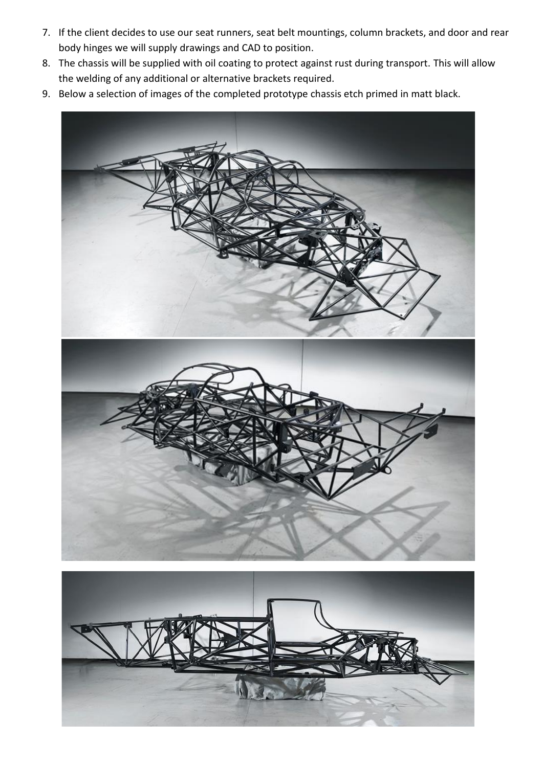- 7. If the client decides to use our seat runners, seat belt mountings, column brackets, and door and rear body hinges we will supply drawings and CAD to position.
- 8. The chassis will be supplied with oil coating to protect against rust during transport. This will allow the welding of any additional or alternative brackets required.
- 9. Below a selection of images of the completed prototype chassis etch primed in matt black.

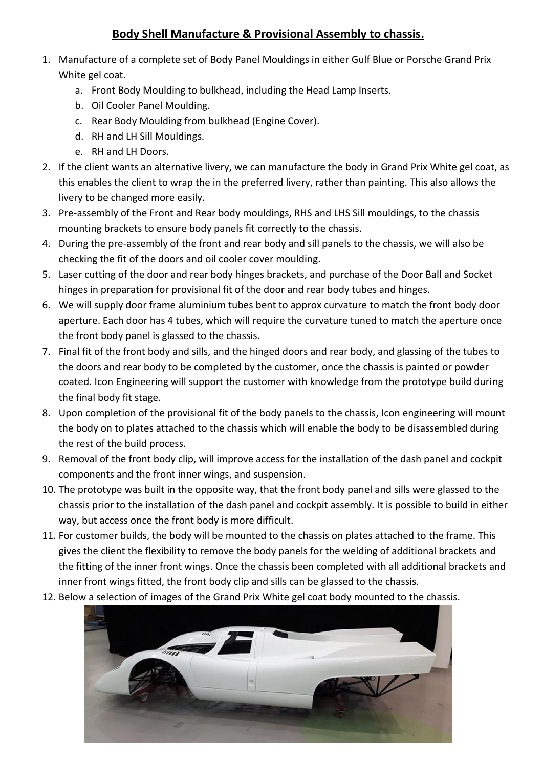## **Body Shell Manufacture & Provisional Assembly to chassis.**

- 1. Manufacture of a complete set of Body Panel Mouldings in either Gulf Blue or Porsche Grand Prix White gel coat.
	- a. Front Body Moulding to bulkhead, including the Head Lamp Inserts.
	- b. Oil Cooler Panel Moulding.
	- c. Rear Body Moulding from bulkhead (Engine Cover).
	- d. RH and LH Sill Mouldings.
	- e. RH and LH Doors.
- 2. If the client wants an alternative livery, we can manufacture the body in Grand Prix White gel coat, as this enables the client to wrap the in the preferred livery, rather than painting. This also allows the livery to be changed more easily.
- 3. Pre-assembly of the Front and Rear body mouldings, RHS and LHS Sill mouldings, to the chassis mounting brackets to ensure body panels fit correctly to the chassis.
- 4. During the pre-assembly of the front and rear body and sill panels to the chassis, we will also be checking the fit of the doors and oil cooler cover moulding.
- 5. Laser cutting of the door and rear body hinges brackets, and purchase of the Door Ball and Socket hinges in preparation for provisional fit of the door and rear body tubes and hinges.
- 6. We will supply door frame aluminium tubes bent to approx curvature to match the front body door aperture. Each door has 4 tubes, which will require the curvature tuned to match the aperture once the front body panel is glassed to the chassis.
- 7. Final fit of the front body and sills, and the hinged doors and rear body, and glassing of the tubes to the doors and rear body to be completed by the customer, once the chassis is painted or powder coated. Icon Engineering will support the customer with knowledge from the prototype build during the final body fit stage.
- 8. Upon completion of the provisional fit of the body panels to the chassis, Icon engineering will mount the body on to plates attached to the chassis which will enable the body to be disassembled during the rest of the build process.
- 9. Removal of the front body clip, will improve access for the installation of the dash panel and cockpit components and the front inner wings, and suspension.
- 10. The prototype was built in the opposite way, that the front body panel and sills were glassed to the chassis prior to the installation of the dash panel and cockpit assembly. It is possible to build in either way, but access once the front body is more difficult.
- 11. For customer builds, the body will be mounted to the chassis on plates attached to the frame. This gives the client the flexibility to remove the body panels for the welding of additional brackets and the fitting of the inner front wings. Once the chassis been completed with all additional brackets and inner front wings fitted, the front body clip and sills can be glassed to the chassis.
- 12. Below a selection of images of the Grand Prix White gel coat body mounted to the chassis.